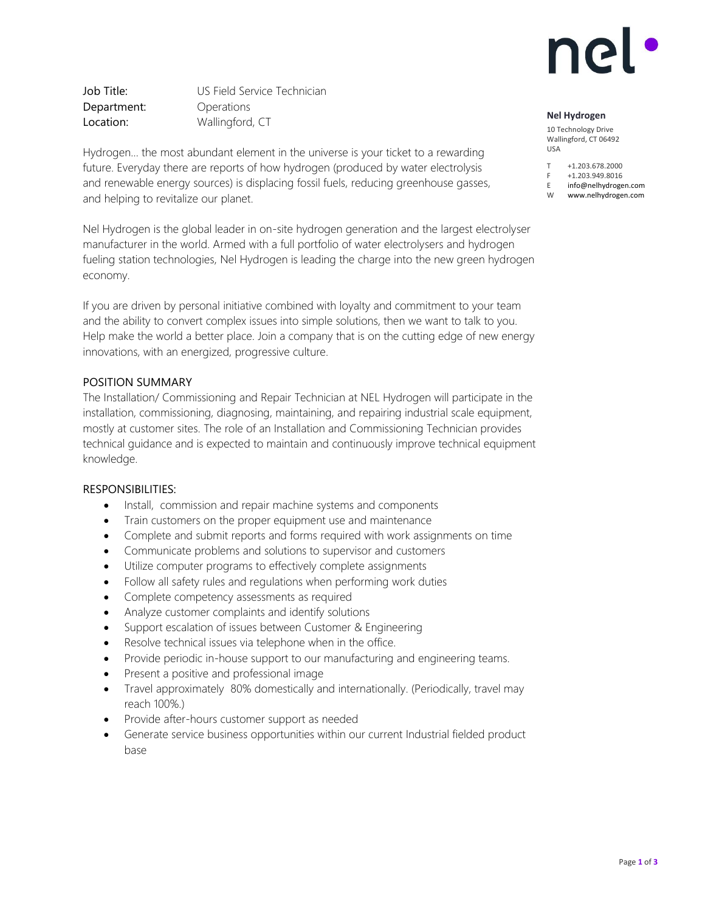

Job Title: US Field Service Technician Department: Operations Location: Wallingford, CT

Hydrogen… the most abundant element in the universe is your ticket to a rewarding future. Everyday there are reports of how hydrogen (produced by water electrolysis and renewable energy sources) is displacing fossil fuels, reducing greenhouse gasses, and helping to revitalize our planet.

Nel Hydrogen is the global leader in on-site hydrogen generation and the largest electrolyser manufacturer in the world. Armed with a full portfolio of water electrolysers and hydrogen fueling station technologies, Nel Hydrogen is leading the charge into the new green hydrogen economy.

If you are driven by personal initiative combined with loyalty and commitment to your team and the ability to convert complex issues into simple solutions, then we want to talk to you. Help make the world a better place. Join a company that is on the cutting edge of new energy innovations, with an energized, progressive culture.

## POSITION SUMMARY

The Installation/ Commissioning and Repair Technician at NEL Hydrogen will participate in the installation, commissioning, diagnosing, maintaining, and repairing industrial scale equipment, mostly at customer sites. The role of an Installation and Commissioning Technician provides technical guidance and is expected to maintain and continuously improve technical equipment knowledge.

### RESPONSIBILITIES:

- Install, commission and repair machine systems and components
- Train customers on the proper equipment use and maintenance
- Complete and submit reports and forms required with work assignments on time
- Communicate problems and solutions to supervisor and customers
- Utilize computer programs to effectively complete assignments
- Follow all safety rules and regulations when performing work duties
- Complete competency assessments as required
- Analyze customer complaints and identify solutions
- Support escalation of issues between Customer & Engineering
- Resolve technical issues via telephone when in the office.
- Provide periodic in-house support to our manufacturing and engineering teams.
- Present a positive and professional image
- Travel approximately 80% domestically and internationally. (Periodically, travel may reach 100%.)
- Provide after-hours customer support as needed
- Generate service business opportunities within our current Industrial fielded product base

#### **Nel Hydrogen**

10 Technology Drive Wallingford, CT 06492 USA

T +1.203.678.2000

F +1.203.949.8016

E [info@nelhydrogen.com](mailto:info@nelhydrogen.com) W [www.nelhydrogen.com](http://www.nelhydrogen.com/)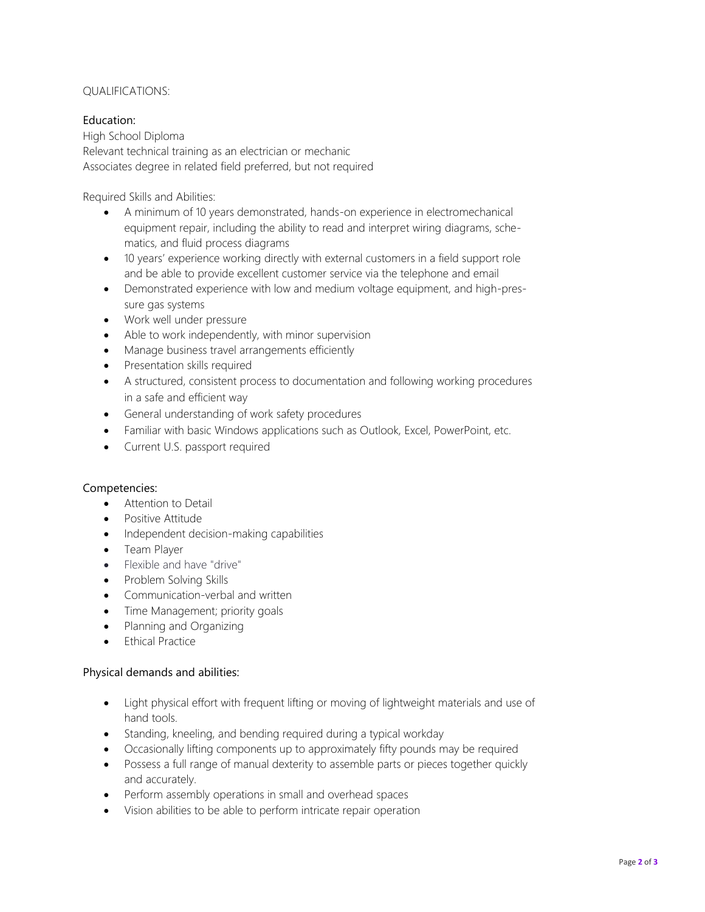# QUALIFICATIONS:

# Education:

High School Diploma Relevant technical training as an electrician or mechanic Associates degree in related field preferred, but not required

Required Skills and Abilities:

- A minimum of 10 years demonstrated, hands-on experience in electromechanical equipment repair, including the ability to read and interpret wiring diagrams, schematics, and fluid process diagrams
- 10 years' experience working directly with external customers in a field support role and be able to provide excellent customer service via the telephone and email
- Demonstrated experience with low and medium voltage equipment, and high-pressure gas systems
- Work well under pressure
- Able to work independently, with minor supervision
- Manage business travel arrangements efficiently
- Presentation skills required
- A structured, consistent process to documentation and following working procedures in a safe and efficient way
- General understanding of work safety procedures
- Familiar with basic Windows applications such as Outlook, Excel, PowerPoint, etc.
- Current U.S. passport required

# Competencies:

- Attention to Detail
- Positive Attitude
- Independent decision-making capabilities
- Team Player
- Flexible and have "drive"
- Problem Solving Skills
- Communication-verbal and written
- Time Management; priority goals
- Planning and Organizing
- **Ethical Practice**

# Physical demands and abilities:

- Light physical effort with frequent lifting or moving of lightweight materials and use of hand tools.
- Standing, kneeling, and bending required during a typical workday
- Occasionally lifting components up to approximately fifty pounds may be required
- Possess a full range of manual dexterity to assemble parts or pieces together quickly and accurately.
- Perform assembly operations in small and overhead spaces
- Vision abilities to be able to perform intricate repair operation